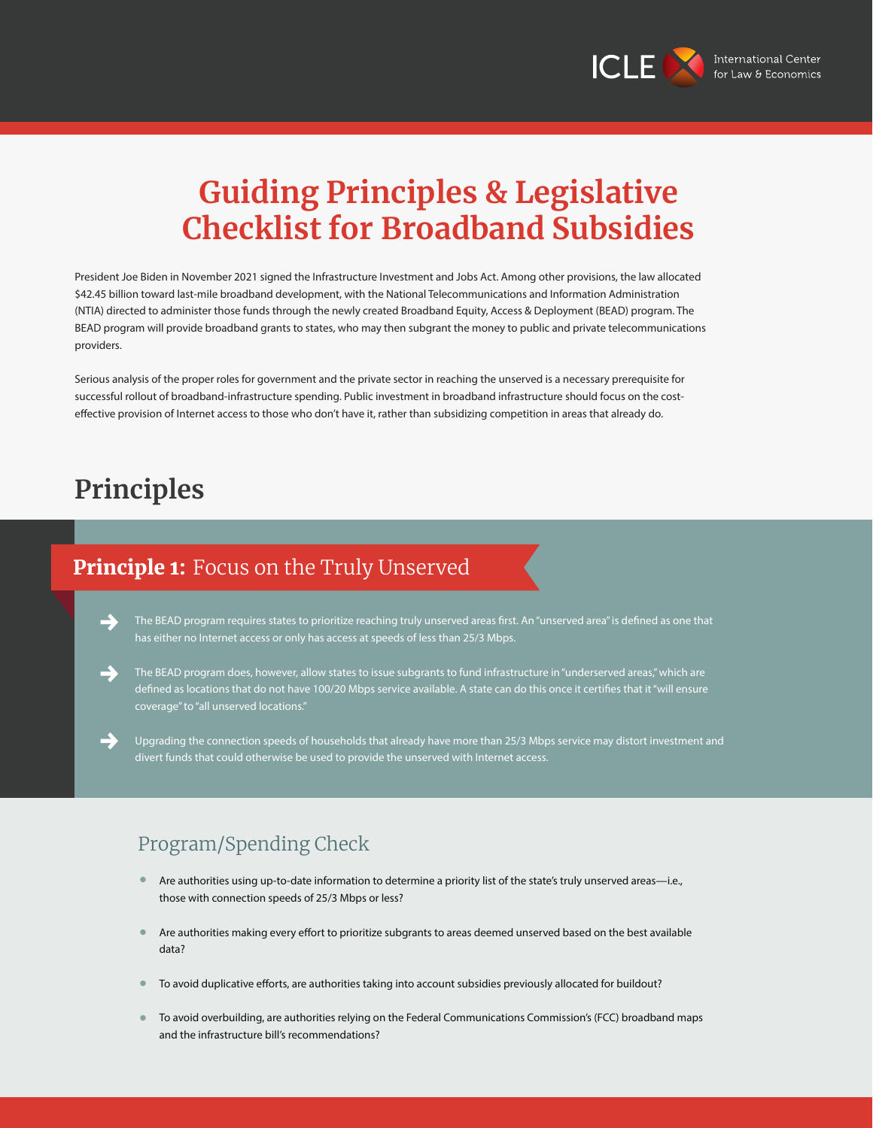

# **Guiding Principles & Legislative Checklist for Broadband Subsidies**

President Joe Biden in November 2021 signed the Infrastructure Investment and Jobs Act. Among other provisions, the law allocated \$42.45 billion toward last-mile broadband development, with the National Telecommunications and Information Administration (NTIA) directed to administer those funds through the newly created Broadband Equity, Access & Deployment (BEAD) program. The BEAD program will provide broadband grants to states, who may then subgrant the money to public and private telecommunications providers.

Serious analysis of the proper roles for government and the private sector in reaching the unserved is a necessary prerequisite for successful rollout of broadband-infrastructure spending. Public investment in broadband infrastructure should focus on the costeffective provision of Internet access to those who don't have it, rather than subsidizing competition in areas that already do.

# **Principles**

### Principle 1: Focus on the Truly Unserved

The BEAD program requires states to prioritize reaching truly unserved areas first. An "unserved area" is defined as one that has either no Internet access or only has access at speeds of less than 25/3 Mbps.



The BEAD program does, however, allow states to issue subgrants to fund infrastructure in "underserved areas," which are defined as locations that do not have 100/20 Mbps service available. A state can do this once it certifies that it "will ensure coverage" to "all unserved locations."

Upgrading the connection speeds of households that already have more than 25/3 Mbps service may distort investment and divert funds that could otherwise be used to provide the unserved with Internet access.

### Program/Spending Check

- Are authorities using up-to-date information to determine a priority list of the state's truly unserved areas—i.e., those with connection speeds of 25/3 Mbps or less? **•**
- Are authorities making every effort to prioritize subgrants to areas deemed unserved based on the best available data? **•**
- To avoid duplicative efforts, are authorities taking into account subsidies previously allocated for buildout? **•**
- To avoid overbuilding, are authorities relying on the Federal Communications Commission's (FCC) broadband maps and the infrastructure bill's recommendations? **•**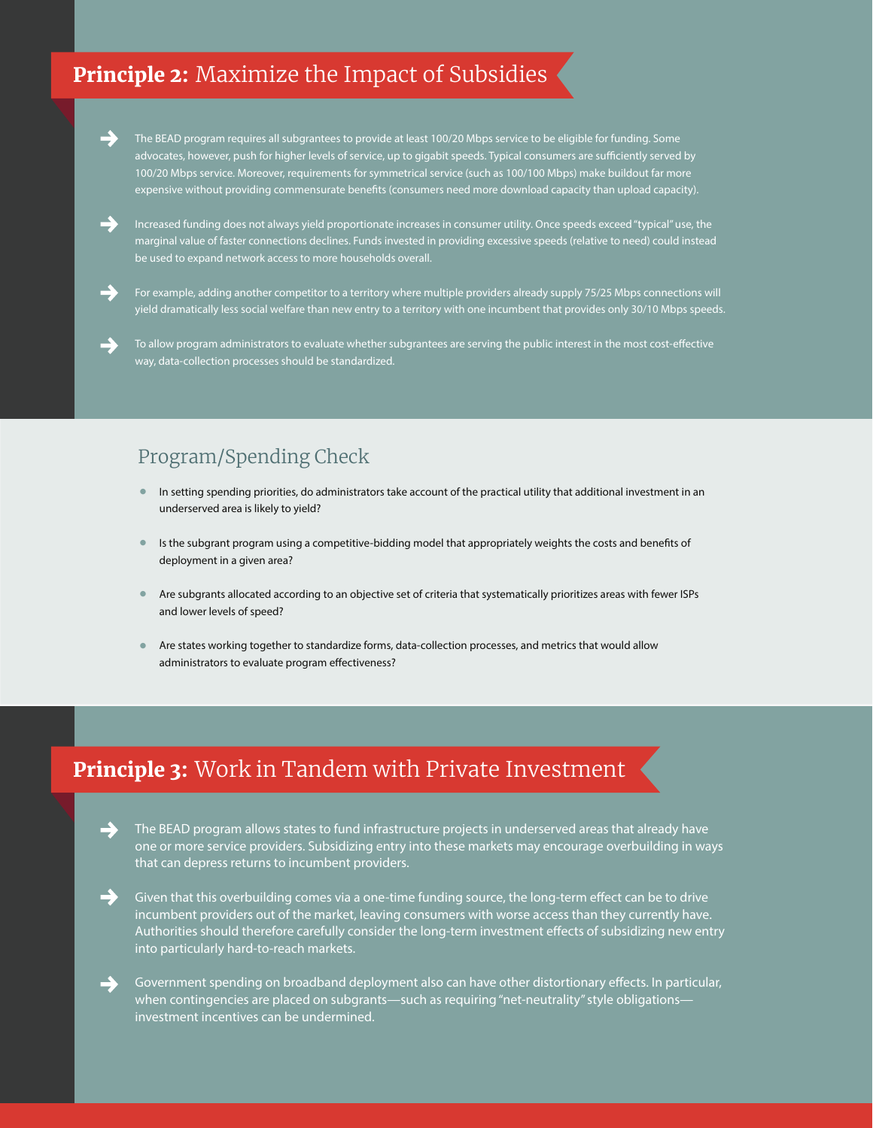## Principle 2: Maximize the Impact of Subsidies



The BEAD program requires all subgrantees to provide at least 100/20 Mbps service to be eligible for funding. Some advocates, however, push for higher levels of service, up to gigabit speeds. Typical consumers are sufficiently served by 100/20 Mbps service. Moreover, requirements for symmetrical service (such as 100/100 Mbps) make buildout far more expensive without providing commensurate benefits (consumers need more download capacity than upload capacity).



Increased funding does not always yield proportionate increases in consumer utility. Once speeds exceed "typical" use, the marginal value of faster connections declines. Funds invested in providing excessive speeds (relative to need) could instead be used to expand network access to more households overall.

For example, adding another competitor to a territory where multiple providers already supply 75/25 Mbps connections will yield dramatically less social welfare than new entry to a territory with one incumbent that provides only 30/10 Mbps speeds.

To allow program administrators to evaluate whether subgrantees are serving the public interest in the most cost-effective way, data-collection processes should be standardized.

#### Program/Spending Check

- In setting spending priorities, do administrators take account of the practical utility that additional investment in an underserved area is likely to yield? **•**
- Is the subgrant program using a competitive-bidding model that appropriately weights the costs and benefits of deployment in a given area? **•**
- Are subgrants allocated according to an objective set of criteria that systematically prioritizes areas with fewer ISPs and lower levels of speed? **•**
- Are states working together to standardize forms, data-collection processes, and metrics that would allow administrators to evaluate program effectiveness? **•**

### Principle 3: Work in Tandem with Private Investment

→ The BEAD program allows states to fund infrastructure projects in underserved areas that already have one or more service providers. Subsidizing entry into these markets may encourage overbuilding in ways that can depress returns to incumbent providers.

Given that this overbuilding comes via a one-time funding source, the long-term effect can be to drive incumbent providers out of the market, leaving consumers with worse access than they currently have. Authorities should therefore carefully consider the long-term investment effects of subsidizing new entry into particularly hard-to-reach markets.

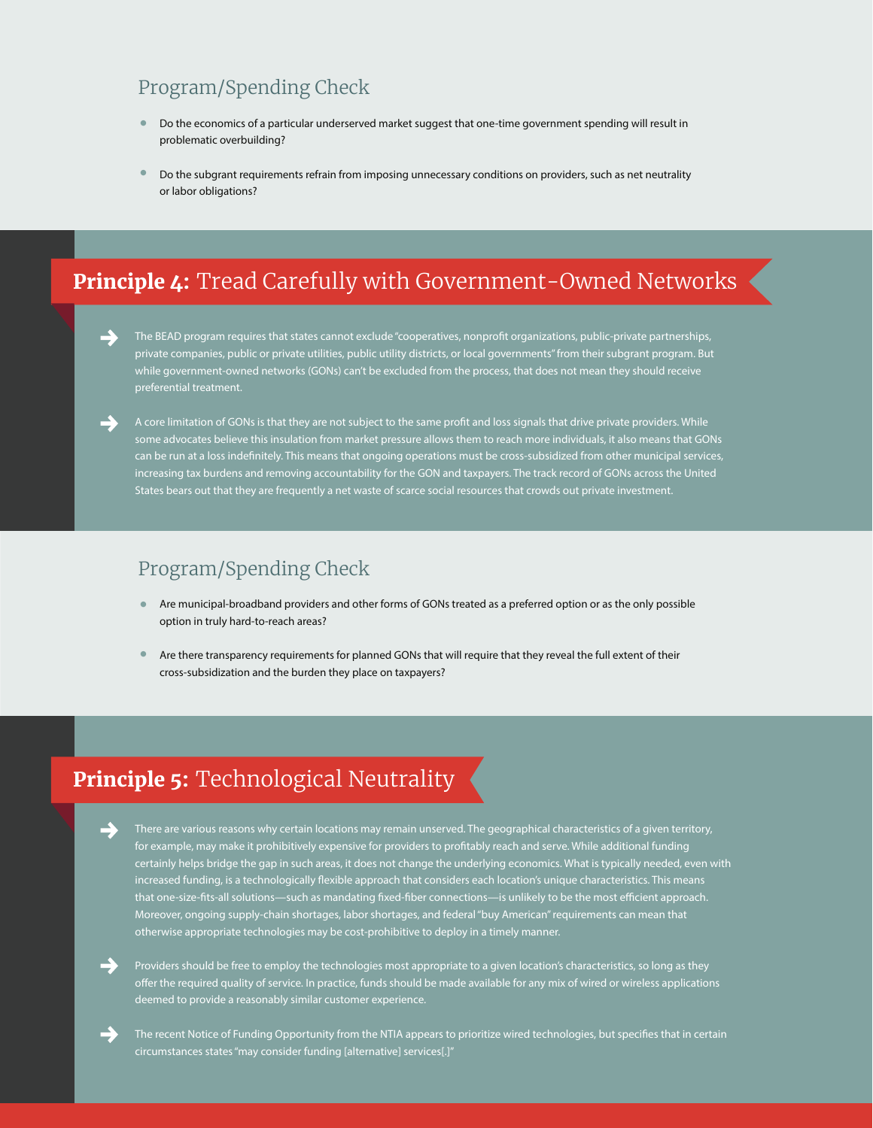### Program/Spending Check

- Do the economics of a particular underserved market suggest that one-time government spending will result in problematic overbuilding? **•**
- Do the subgrant requirements refrain from imposing unnecessary conditions on providers, such as net neutrality or labor obligations? **•**

# Principle 4: Tread Carefully with Government-Owned Networks

The BEAD program requires that states cannot exclude "cooperatives, nonprofit organizations, public-private partnerships, private companies, public or private utilities, public utility districts, or local governments" from their subgrant program. But while government-owned networks (GONs) can't be excluded from the process, that does not mean they should receive preferential treatment.

A core limitation of GONs is that they are not subject to the same profit and loss signals that drive private providers. While some advocates believe this insulation from market pressure allows them to reach more individuals, it also means that GONs can be run at a loss indefinitely. This means that ongoing operations must be cross-subsidized from other municipal services, increasing tax burdens and removing accountability for the GON and taxpayers. The track record of GONs across the United States bears out that they are frequently a net waste of scarce social resources that crowds out private investment.

#### Program/Spending Check

- Are municipal-broadband providers and other forms of GONs treated as a preferred option or as the only possible option in truly hard-to-reach areas? **•**
- Are there transparency requirements for planned GONs that will require that they reveal the full extent of their cross-subsidization and the burden they place on taxpayers? **•**

## **Principle 5:** Technological Neutrality

- There are various reasons why certain locations may remain unserved. The geographical characteristics of a given territory, for example, may make it prohibitively expensive for providers to profitably reach and serve. While additional funding certainly helps bridge the gap in such areas, it does not change the underlying economics. What is typically needed, even with increased funding, is a technologically flexible approach that considers each location's unique characteristics. This means that one-size-fits-all solutions—such as mandating fixed-fiber connections—is unlikely to be the most efficient approach. Moreover, ongoing supply-chain shortages, labor shortages, and federal "buy American" requirements can mean that otherwise appropriate technologies may be cost-prohibitive to deploy in a timely manner.
- Providers should be free to employ the technologies most appropriate to a given location's characteristics, so long as they offer the required quality of service. In practice, funds should be made available for any mix of wired or wireless applications deemed to provide a reasonably similar customer experience.
- The recent Notice of Funding Opportunity from the NTIA appears to prioritize wired technologies, but specifies that in certain circumstances states "may consider funding [alternative] services[.]"